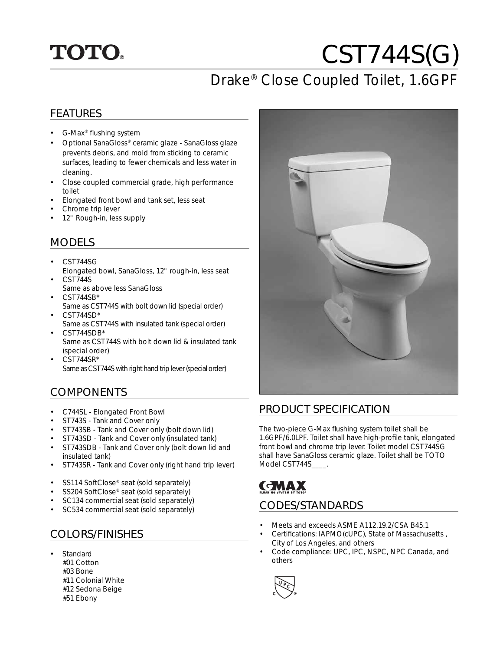# **TOTO.**

# CST744S(G)

## Drake® Close Coupled Toilet, 1.6GPF

#### FEATURES

- G-Max<sup>®</sup> flushing system
- Optional SanaGloss® ceramic glaze SanaGloss glaze prevents debris, and mold from sticking to ceramic surfaces, leading to fewer chemicals and less water in cleaning.
- Close coupled commercial grade, high performance toilet
- Elongated front bowl and tank set, less seat
- Chrome trip lever
- 12" Rough-in, less supply

#### MODELS

- CST744SG
- Elongated bowl, SanaGloss, 12" rough-in, less seat • CST744S
- Same as above less SanaGloss • CST744SB\*
- Same as CST744S with bolt down lid (special order)
- $CST744SD*$ Same as CST744S with insulated tank (special order)
- CST744SDB\* Same as CST744S with bolt down lid & insulated tank (special order)
- $\cdot$  CST744SR\* Same as CST744S with right hand trip lever (special order)

#### COMPONENTS

- C744SL Elongated Front Bowl<br>• ST743S Tank and Cover only
- ST743S Tank and Cover only
- ST743SB Tank and Cover only (bolt down lid)
- ST743SD Tank and Cover only (insulated tank)
- ST743SDB Tank and Cover only (bolt down lid and insulated tank)
- ST743SR Tank and Cover only (right hand trip lever)
- SS114 SoftClose® seat (sold separately)
- SS204 SoftClose® seat (sold separately)
- SC134 commercial seat (sold separately)
- SC534 commercial seat (sold separately)

#### COLORS/FINISHES

**Standard**  #01 Cotton #03 Bone #11 Colonial White #12 Sedona Beige #51 Ebony



#### PRODUCT SPECIFICATION

The two-piece G-Max flushing system toilet shall be 1.6GPF/6.0LPF. Toilet shall have high-profile tank, elongated front bowl and chrome trip lever. Toilet model CST744SG shall have SanaGloss ceramic glaze. Toilet shall be TOTO Model CST744S\_\_\_\_.

### **CMAX** CODES/STANDARDS

- Meets and exceeds ASME A112.19.2/CSA B45.1
- Certifications: IAPMO(cUPC), State of Massachusetts, City of Los Angeles, and others
- Code compliance: UPC, IPC, NSPC, NPC Canada, and others